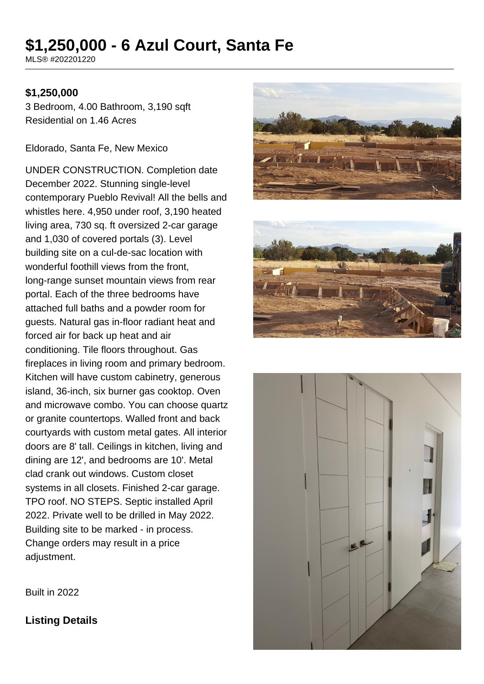# **\$1,250,000 - 6 Azul Court, Santa Fe**

MLS® #202201220

#### **\$1,250,000**

3 Bedroom, 4.00 Bathroom, 3,190 sqft Residential on 1.46 Acres

Eldorado, Santa Fe, New Mexico

UNDER CONSTRUCTION. Completion date December 2022. Stunning single-level contemporary Pueblo Revival! All the bells and whistles here. 4,950 under roof, 3,190 heated living area, 730 sq. ft oversized 2-car garage and 1,030 of covered portals (3). Level building site on a cul-de-sac location with wonderful foothill views from the front, long-range sunset mountain views from rear portal. Each of the three bedrooms have attached full baths and a powder room for guests. Natural gas in-floor radiant heat and forced air for back up heat and air conditioning. Tile floors throughout. Gas fireplaces in living room and primary bedroom. Kitchen will have custom cabinetry, generous island, 36-inch, six burner gas cooktop. Oven and microwave combo. You can choose quartz or granite countertops. Walled front and back courtyards with custom metal gates. All interior doors are 8' tall. Ceilings in kitchen, living and dining are 12', and bedrooms are 10'. Metal clad crank out windows. Custom closet systems in all closets. Finished 2-car garage. TPO roof. NO STEPS. Septic installed April 2022. Private well to be drilled in May 2022. Building site to be marked - in process. Change orders may result in a price adjustment.







Built in 2022

**Listing Details**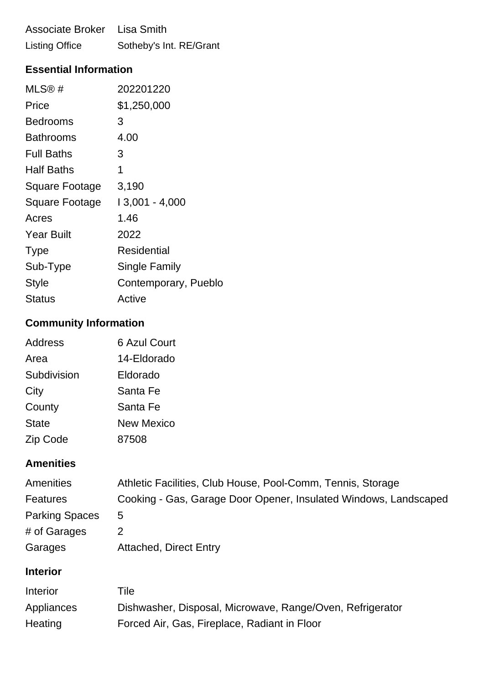Associate Broker Lisa Smith Listing Office Sotheby's Int. RE/Grant

# **Essential Information**

| MLS@#             | 202201220            |
|-------------------|----------------------|
| Price             | \$1,250,000          |
| Bedrooms          | 3                    |
| <b>Bathrooms</b>  | 4.00                 |
| <b>Full Baths</b> | 3                    |
| Half Baths        | 1                    |
| Square Footage    | 3,190                |
| Square Footage    | $13,001 - 4,000$     |
| Acres             | 1.46                 |
| <b>Year Built</b> | 2022                 |
| <b>Type</b>       | Residential          |
| Sub-Type          | Single Family        |
| Style             | Contemporary, Pueblo |
| Status            | Active               |

# **Community Information**

| Address      | <b>6 Azul Court</b> |
|--------------|---------------------|
| Area         | 14-Eldorado         |
| Subdivision  | Eldorado            |
| City         | Santa Fe            |
| County       | Santa Fe            |
| <b>State</b> | <b>New Mexico</b>   |
| Zip Code     | 87508               |

## **Amenities**

| Amenities             | Athletic Facilities, Club House, Pool-Comm, Tennis, Storage      |
|-----------------------|------------------------------------------------------------------|
| Features              | Cooking - Gas, Garage Door Opener, Insulated Windows, Landscaped |
| <b>Parking Spaces</b> | $\mathbf b$                                                      |
| # of Garages          |                                                                  |
| Garages               | <b>Attached, Direct Entry</b>                                    |

## **Interior**

| Interior   | Tile                                                      |
|------------|-----------------------------------------------------------|
| Appliances | Dishwasher, Disposal, Microwave, Range/Oven, Refrigerator |
| Heating    | Forced Air, Gas, Fireplace, Radiant in Floor              |